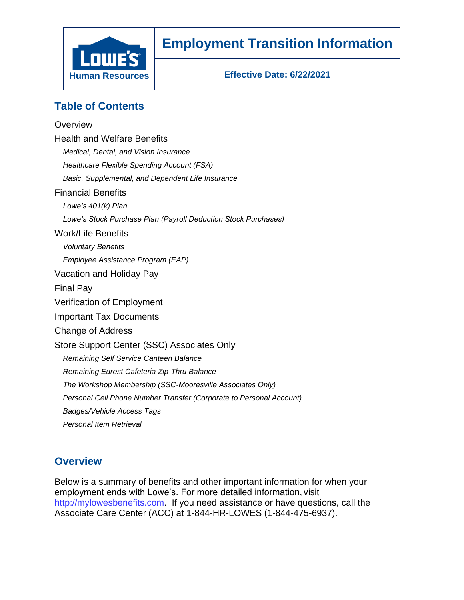

# **Employment Transition Information**

**Effective Date: 6/22/2021**

# **Table of Contents**

### **Overview**

| <b>Health and Welfare Benefits</b>                                  |
|---------------------------------------------------------------------|
| Medical, Dental, and Vision Insurance                               |
| Healthcare Flexible Spending Account (FSA)                          |
| Basic, Supplemental, and Dependent Life Insurance                   |
| <b>Financial Benefits</b>                                           |
| Lowe's $401(k)$ Plan                                                |
| Lowe's Stock Purchase Plan (Payroll Deduction Stock Purchases)      |
| Work/Life Benefits                                                  |
| <b>Voluntary Benefits</b>                                           |
| Employee Assistance Program (EAP)                                   |
| Vacation and Holiday Pay                                            |
| Final Pay                                                           |
| Verification of Employment                                          |
| <b>Important Tax Documents</b>                                      |
| Change of Address                                                   |
| Store Support Center (SSC) Associates Only                          |
| Remaining Self Service Canteen Balance                              |
| Remaining Eurest Cafeteria Zip-Thru Balance                         |
| The Workshop Membership (SSC-Mooresville Associates Only)           |
| Personal Cell Phone Number Transfer (Corporate to Personal Account) |
| Badges/Vehicle Access Tags                                          |
| Personal Item Retrieval                                             |

### **Overview**

Below is a summary of benefits and other important information for when your employment ends with Lowe's. For more detailed information, visit http://mylowesbenefits.com. If you need assistance or have questions, call the Associate Care Center (ACC) at 1-844-HR-LOWES (1-844-475-6937).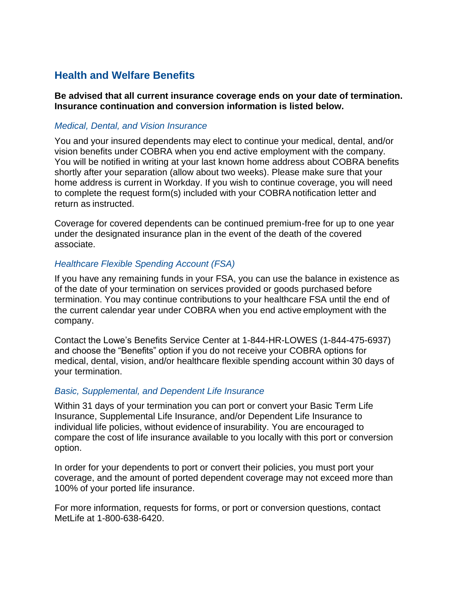### **Health and Welfare Benefits**

**Be advised that all current insurance coverage ends on your date of termination. Insurance continuation and conversion information is listed below.**

#### *Medical, Dental, and Vision Insurance*

You and your insured dependents may elect to continue your medical, dental, and/or vision benefits under COBRA when you end active employment with the company. You will be notified in writing at your last known home address about COBRA benefits shortly after your separation (allow about two weeks). Please make sure that your home address is current in Workday. If you wish to continue coverage, you will need to complete the request form(s) included with your COBRAnotification letter and return as instructed.

Coverage for covered dependents can be continued premium-free for up to one year under the designated insurance plan in the event of the death of the covered associate.

#### *Healthcare Flexible Spending Account (FSA)*

If you have any remaining funds in your FSA, you can use the balance in existence as of the date of your termination on services provided or goods purchased before termination. You may continue contributions to your healthcare FSA until the end of the current calendar year under COBRA when you end active employment with the company.

Contact the Lowe's Benefits Service Center at 1-844-HR-LOWES (1-844-475-6937) and choose the "Benefits" option if you do not receive your COBRA options for medical, dental, vision, and/or healthcare flexible spending account within 30 days of your termination.

#### *Basic, Supplemental, and Dependent Life Insurance*

Within 31 days of your termination you can port or convert your Basic Term Life Insurance, Supplemental Life Insurance, and/or Dependent Life Insurance to individual life policies, without evidence of insurability. You are encouraged to compare the cost of life insurance available to you locally with this port or conversion option.

In order for your dependents to port or convert their policies, you must port your coverage, and the amount of ported dependent coverage may not exceed more than 100% of your ported life insurance.

For more information, requests for forms, or port or conversion questions, contact MetLife at 1-800-638-6420.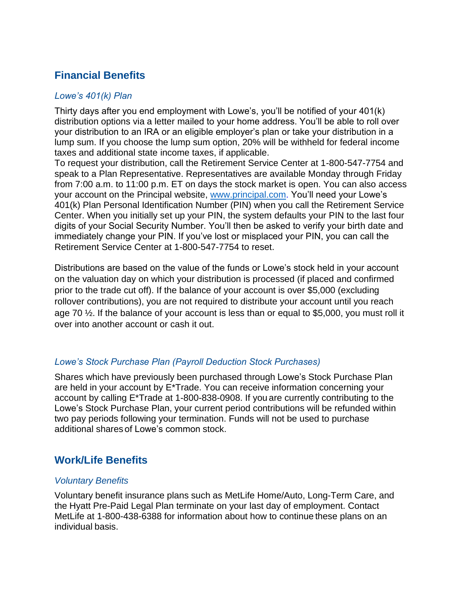# **Financial Benefits**

### *Lowe's 401(k) Plan*

Thirty days after you end employment with Lowe's, you'll be notified of your 401(k) distribution options via a letter mailed to your home address. You'll be able to roll over your distribution to an IRA or an eligible employer's plan or take your distribution in a lump sum. If you choose the lump sum option, 20% will be withheld for federal income taxes and additional state income taxes, if applicable.

To request your distribution, call the Retirement Service Center at 1-800-547-7754 and speak to a Plan Representative. Representatives are available Monday through Friday from 7:00 a.m. to 11:00 p.m. ET on days the stock market is open. You can also access your account on the Principal website, www.principal.com. You'll need your Lowe's 401(k) Plan Personal Identification Number (PIN) when you call the Retirement Service Center. When you initially set up your PIN, the system defaults your PIN to the last four digits of your Social Security Number. You'll then be asked to verify your birth date and immediately change your PIN. If you've lost or misplaced your PIN, you can call the Retirement Service Center at 1-800-547-7754 to reset.

Distributions are based on the value of the funds or Lowe's stock held in your account on the valuation day on which your distribution is processed (if placed and confirmed prior to the trade cut off). If the balance of your account is over \$5,000 (excluding rollover contributions), you are not required to distribute your account until you reach age 70 ½. If the balance of your account is less than or equal to \$5,000, you must roll it over into another account or cash it out.

### *Lowe's Stock Purchase Plan (Payroll Deduction Stock Purchases)*

Shares which have previously been purchased through Lowe's Stock Purchase Plan are held in your account by E\*Trade. You can receive information concerning your account by calling E\*Trade at 1-800-838-0908. If you are currently contributing to the Lowe's Stock Purchase Plan, your current period contributions will be refunded within two pay periods following your termination. Funds will not be used to purchase additional shares of Lowe's common stock.

## **Work/Life Benefits**

### *Voluntary Benefits*

Voluntary benefit insurance plans such as MetLife Home/Auto, Long-Term Care, and the Hyatt Pre-Paid Legal Plan terminate on your last day of employment. Contact MetLife at 1-800-438-6388 for information about how to continue these plans on an individual basis.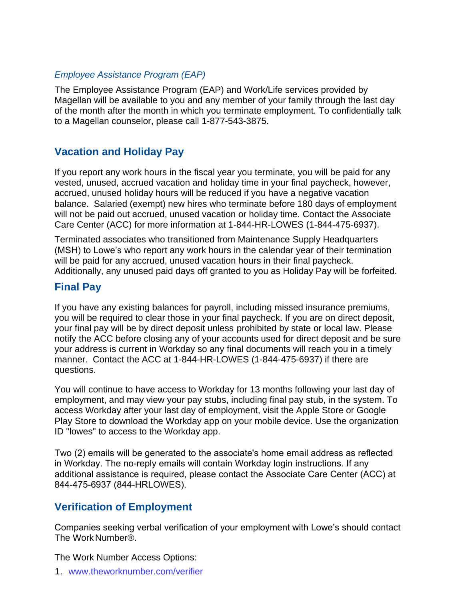### *Employee Assistance Program (EAP)*

The Employee Assistance Program (EAP) and Work/Life services provided by Magellan will be available to you and any member of your family through the last day of the month after the month in which you terminate employment. To confidentially talk to a Magellan counselor, please call 1-877-543-3875.

### **Vacation and Holiday Pay**

If you report any work hours in the fiscal year you terminate, you will be paid for any vested, unused, accrued vacation and holiday time in your final paycheck, however, accrued, unused holiday hours will be reduced if you have a negative vacation balance. Salaried (exempt) new hires who terminate before 180 days of employment will not be paid out accrued, unused vacation or holiday time. Contact the Associate Care Center (ACC) for more information at 1-844-HR-LOWES (1-844-475-6937).

Terminated associates who transitioned from Maintenance Supply Headquarters (MSH) to Lowe's who report any work hours in the calendar year of their termination will be paid for any accrued, unused vacation hours in their final paycheck. Additionally, any unused paid days off granted to you as Holiday Pay will be forfeited.

### **Final Pay**

If you have any existing balances for payroll, including missed insurance premiums, you will be required to clear those in your final paycheck. If you are on direct deposit, your final pay will be by direct deposit unless prohibited by state or local law. Please notify the ACC before closing any of your accounts used for direct deposit and be sure your address is current in Workday so any final documents will reach you in a timely manner. Contact the ACC at 1-844-HR-LOWES (1-844-475-6937) if there are questions.

You will continue to have access to Workday for 13 months following your last day of employment, and may view your pay stubs, including final pay stub, in the system. To access Workday after your last day of employment, visit the Apple Store or Google Play Store to download the Workday app on your mobile device. Use the organization ID "lowes" to access to the Workday app.

Two (2) emails will be generated to the associate's home email address as reflected in Workday. The no-reply emails will contain Workday login instructions. If any additional assistance is required, please contact the Associate Care Center (ACC) at 844-475-6937 (844-HRLOWES).

### **Verification of Employment**

Companies seeking verbal verification of your employment with Lowe's should contact The Work Number®.

The Work Number Access Options:

1. www.theworknumber.com/verifier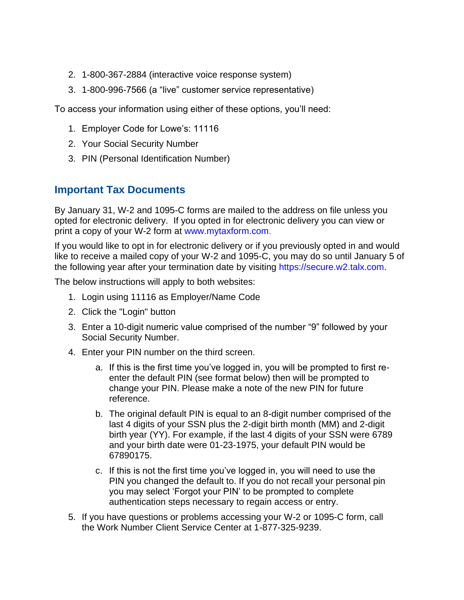- 2. 1-800-367-2884 (interactive voice response system)
- 3. 1-800-996-7566 (a "live" customer service representative)

To access your information using either of these options, you'll need:

- 1. Employer Code for Lowe's: 11116
- 2. Your Social Security Number
- 3. PIN (Personal Identification Number)

### **Important Tax Documents**

By January 31, W-2 and 1095-C forms are mailed to the address on file unless you opted for electronic delivery. If you opted in for electronic delivery you can view or print a copy of your W-2 form at www.mytaxform.com.

If you would like to opt in for electronic delivery or if you previously opted in and would like to receive a mailed copy of your W-2 and 1095-C, you may do so until January 5 of the following year after your termination date by visiting https://secure.w2.talx.com.

The below instructions will apply to both websites:

- 1. Login using 11116 as Employer/Name Code
- 2. Click the "Login" button
- 3. Enter a 10-digit numeric value comprised of the number "9" followed by your Social Security Number.
- 4. Enter your PIN number on the third screen.
	- a. If this is the first time you've logged in, you will be prompted to first reenter the default PIN (see format below) then will be prompted to change your PIN. Please make a note of the new PIN for future reference.
	- b. The original default PIN is equal to an 8-digit number comprised of the last 4 digits of your SSN plus the 2-digit birth month (MM) and 2-digit birth year (YY). For example, if the last 4 digits of your SSN were 6789 and your birth date were 01-23-1975, your default PIN would be 67890175.
	- c. If this is not the first time you've logged in, you will need to use the PIN you changed the default to. If you do not recall your personal pin you may select 'Forgot your PIN' to be prompted to complete authentication steps necessary to regain access or entry.
- 5. If you have questions or problems accessing your W-2 or 1095-C form, call the Work Number Client Service Center at 1-877-325-9239.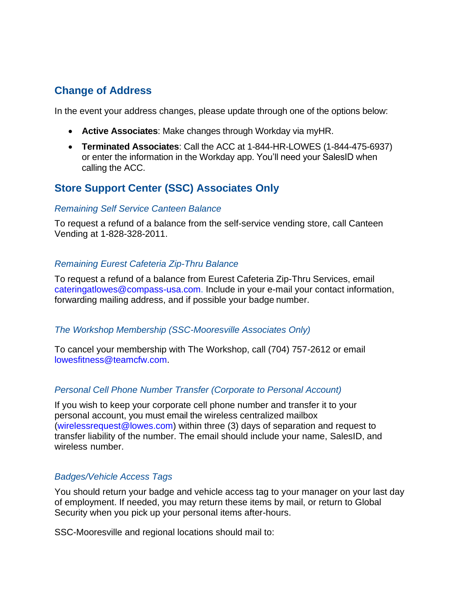### **Change of Address**

In the event your address changes, please update through one of the options below:

- **Active Associates**: Make changes through Workday via myHR.
- **Terminated Associates**: Call the ACC at 1-844-HR-LOWES (1-844-475-6937) or enter the information in the Workday app. You'll need your SalesID when calling the ACC.

### **Store Support Center (SSC) Associates Only**

#### *Remaining Self Service Canteen Balance*

To request a refund of a balance from the self-service vending store, call Canteen Vending at 1-828-328-2011.

#### *Remaining Eurest Cafeteria Zip-Thru Balance*

To request a refund of a balance from Eurest Cafeteria Zip-Thru Services, email cateringatlowes@compass-usa.com. Include in your e-mail your contact information, forwarding mailing address, and if possible your badge number.

#### *The Workshop Membership (SSC-Mooresville Associates Only)*

To cancel your membership with The Workshop, call (704) 757-2612 or email lowesfitness@teamcfw.com.

#### *Personal Cell Phone Number Transfer (Corporate to Personal Account)*

If you wish to keep your corporate cell phone number and transfer it to your personal account, you must email the wireless centralized mailbox (wirelessrequest@lowes.com) within three (3) days of separation and request to transfer liability of the number. The email should include your name, SalesID, and wireless number.

#### *Badges/Vehicle Access Tags*

You should return your badge and vehicle access tag to your manager on your last day of employment. If needed, you may return these items by mail, or return to Global Security when you pick up your personal items after-hours.

SSC-Mooresville and regional locations should mail to: